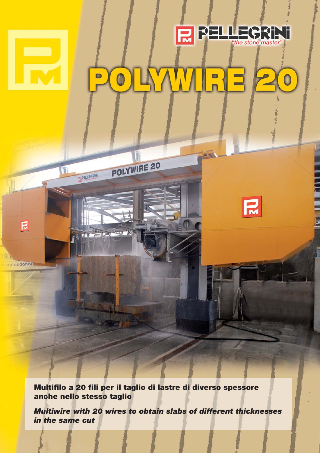

## O D B  $\mathbf 0$



アダント

when

osdonor

 $\mathbf{R}$ 

т

EPELEGRIN

THE PERSON NAMED IN

**Multifilo a 20 fili per il taglio di lastre di diverso spessore anche nello stesso taglio**

POLYWIRE 20

**Multiwire with 20 wires to obtain slabs of different thicknesses in the same cut**